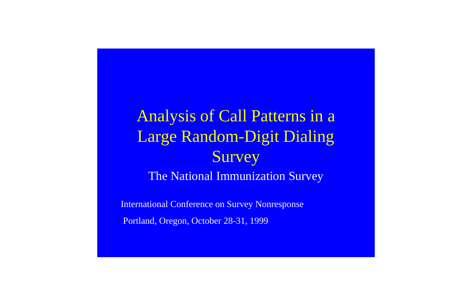# Analysis of Call Patterns in a Survey The National Immunization Survey Large Random-Digit Dialing

International Conference on Survey Nonresponse Portland, Oregon, October 28-31, 1999

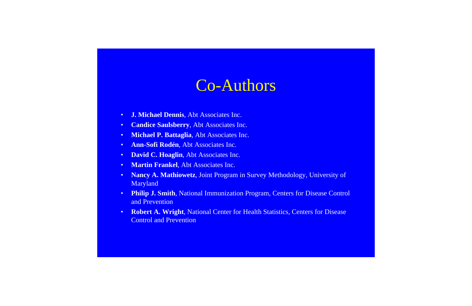- **J. Michael Dennis**, Abt Associates Inc.
- Candice Saulsberry, Abt Associates Inc.
- **Michael P. Battaglia**, Abt Associates Inc.
- Ann-Sofi Rodén, Abt Associates Inc.
- David C. Hoaglin, Abt Associates Inc.
- **Martin Frankel**, Abt Associates Inc.
- Nancy A. Mathiowetz, Joint Program in Survey Methodology, University of Maryland
- **Philip J. Smith**, National Immunization Program, Centers for Disease Control and Prevention
- **Robert A. Wright**, National Center for Health Statistics, Centers for Disease Control and Prevention

#### Co-Authors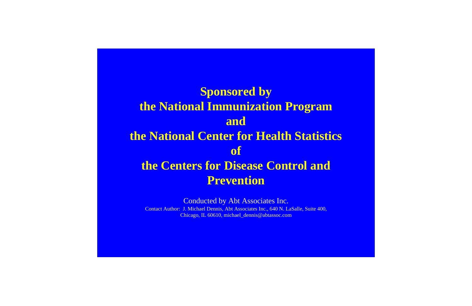#### **Sponsored by the National Immunization Program and the National Center for Health Statistics of the Centers for Disease Control and Prevention**

Conducted by Abt Associates Inc. Contact Author: J. Michael Dennis, Abt Associates Inc., 640 N. LaSalle, Suite 400, Chicago, IL 60610, michael\_dennis@abtassoc.com

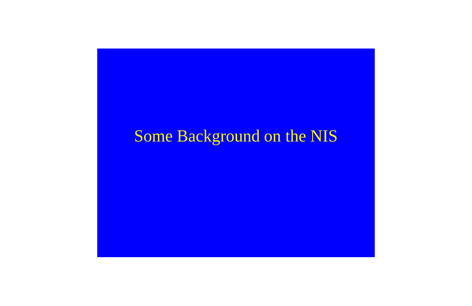# Some Background on the NIS

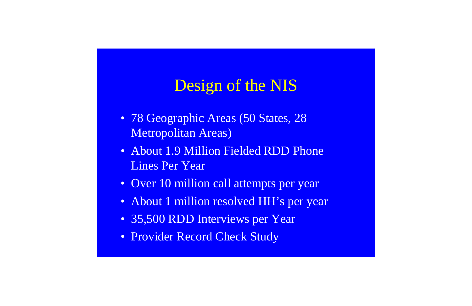# Design of the NIS

- 78 Geographic Areas (50 States, 28 Metropolitan Areas)
- About 1.9 Million Fielded RDD Phone Lines Per Year
- Over 10 million call attempts per year
- About 1 million resolved HH's per year
- 35,500 RDD Interviews per Year
- Provider Record Check Study

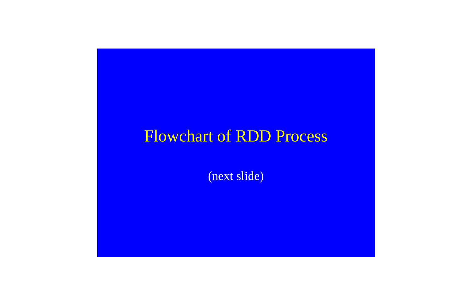## Flowchart of RDD Process

(next slide)

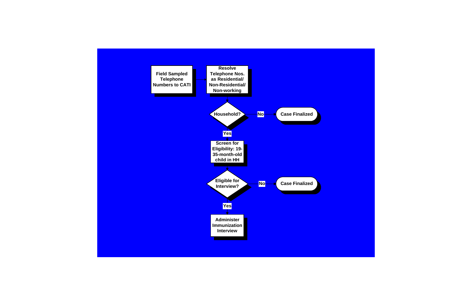

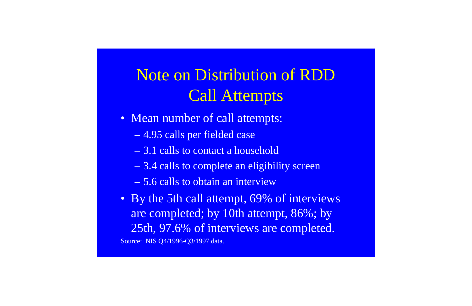# Note on Distribution of RDD Call Attempts

- Mean number of call attempts:
	- 4.95 calls per fielded case
	- 3.1 calls to contact a household
	- 3.4 calls to complete an eligibility screen
	- 5.6 calls to obtain an interview
- By the 5th call attempt, 69% of interviews are completed; by 10th attempt, 86%; by 25th, 97.6% of interviews are completed. Source: NIS Q4/1996-Q3/1997 data.

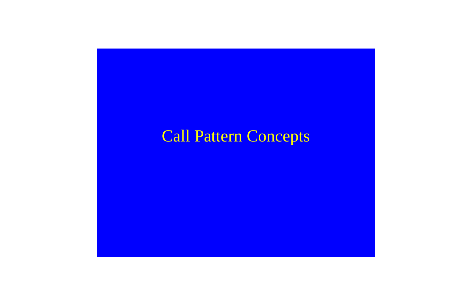# Call Pattern Concepts

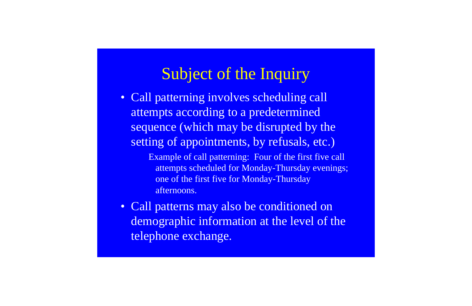## Subject of the Inquiry

- · Call patterning involves scheduling call attempts according to a predetermined sequence (which may be disrupted by the setting of appointments, by refusals, etc.)
	- Example of call patterning: Four of the first five call attempts scheduled for Monday-Thursday evenings; one of the first five for Monday-Thursday afternoons.
- Call patterns may also be conditioned on demographic information at the level of the telephone exchange.

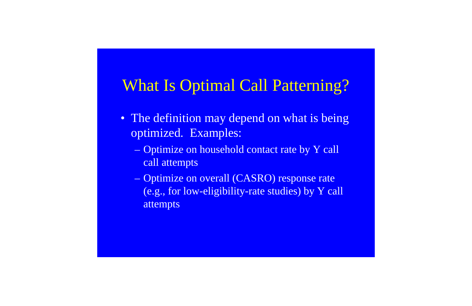## What Is Optimal Call Patterning?

- The definition may depend on what is being optimized. Examples:
	- call attempts – Optimize on household contact rate by Y call
	- attempts – Optimize on overall (CASRO) response rate (e.g., for low-eligibility-rate studies) by Y call

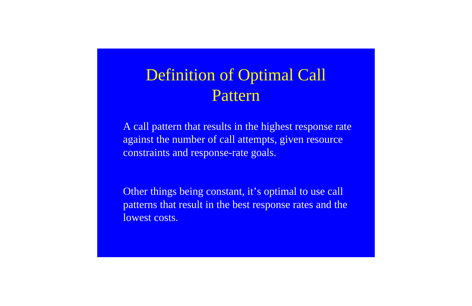# Definition of Optimal Call Pattern

A call pattern that results in the highest response rate against the number of call attempts, given resource constraints and response-rate goals.

Other things being constant, it's optimal to use call patterns that result in the best response rates and the lowest costs.

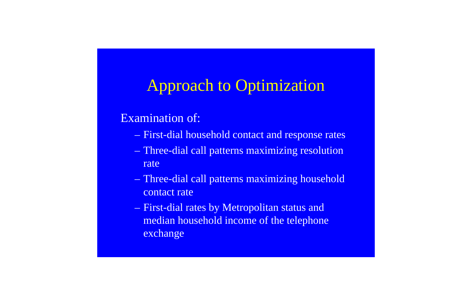## Approach to Optimization

#### Examination of:

- First-dial household contact and response rates
- rate – Three-dial call patterns maximizing resolution
- contact rate – Three-dial call patterns maximizing household
- median household income of the telephone exchange – First-dial rates by Metropolitan status and

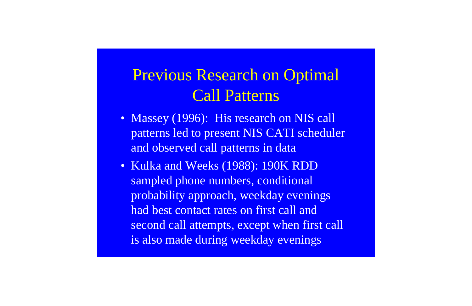# Previous Research on Optimal Call Patterns

- Massey (1996): His research on NIS call patterns led to present NIS CATI scheduler and observed call patterns in data
- Kulka and Weeks (1988): 190K RDD sampled phone numbers, conditional probability approach, weekday evenings had best contact rates on first call and second call attempts, except when first call is also made during weekday evenings

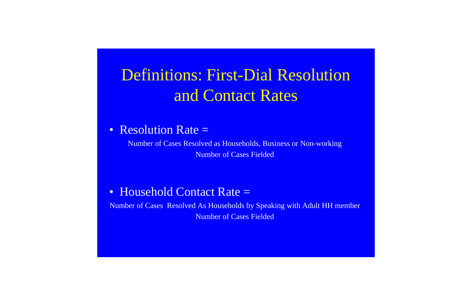# and Contact Rates Definitions: First-Dial Resolution

#### • Resolution Rate =

Number of Cases Resolved As Households by Speaking with Adult HH member Number of Cases Fielded



Number of Cases Fielded Number of Cases Resolved as Households, Business or Non-working

#### • Household Contact Rate =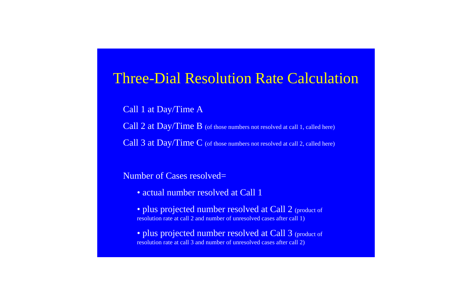#### Number of Cases resolved=

- actual number resolved at Call 1
- · plus projected number resolved at Call 2 (product of resolution rate at call 2 and number of unresolved cases after call 1)

#### Three-Dial Resolution Rate Calculation

Call 1 at Day/Time A Call 2 at Day/Time B (of those numbers not resolved at call 1, called here) Call 3 at Day/Time C (of those numbers not resolved at call 2, called here)

· plus projected number resolved at Call 3 (product of resolution rate at call 3 and number of unresolved cases after call 2)

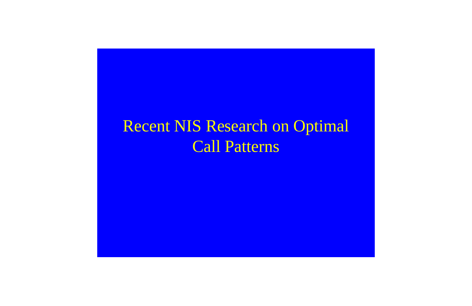# Recent NIS Research on Optimal Call Patterns

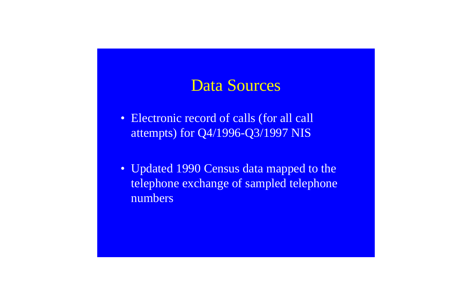#### Data Sources

- Electronic record of calls (for all call attempts) for Q4/1996-Q3/1997 NIS
- Updated 1990 Census data mapped to the telephone exchange of sampled telephone numbers

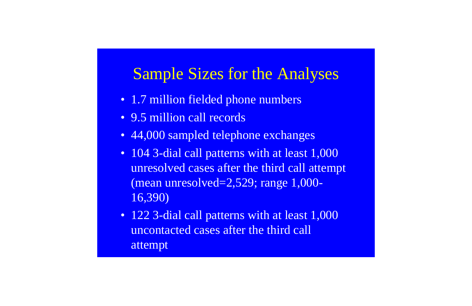## Sample Sizes for the Analyses

- 1.7 million fielded phone numbers
- 9.5 million call records
- 44,000 sampled telephone exchanges
- 104 3-dial call patterns with at least 1,000 unresolved cases after the third call attempt 16,390) (mean unresolved=2,529; range 1,000-
- 122 3-dial call patterns with at least 1,000 attempt uncontacted cases after the third call

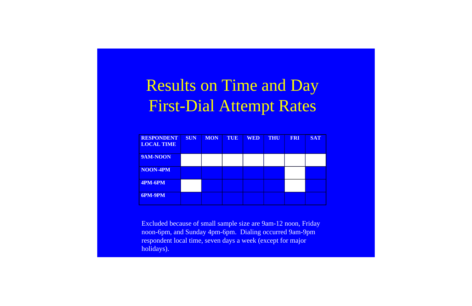# Results on Time and Day First-Dial Attempt Rates

| <b>RESPONDENT</b><br><b>LOCAL TIME</b> | <b>SUN</b> | <b>MON</b> | TUE | <b>WED</b> | <b>THU</b> | <b>FRI</b> | <b>SAT</b> |
|----------------------------------------|------------|------------|-----|------------|------------|------------|------------|
| 9AM-NOON                               |            |            |     |            |            |            |            |
| NOON-4PM                               |            |            |     |            |            |            |            |
| 4PM-6PM                                |            |            |     |            |            |            |            |
| <b>6PM-9PM</b>                         |            |            |     |            |            |            |            |

Excluded because of small sample size are 9am-12 noon, Friday noon-6pm, and Sunday 4pm-6pm. Dialing occurred 9am-9pm respondent local time, seven days a week (except for major holidays).

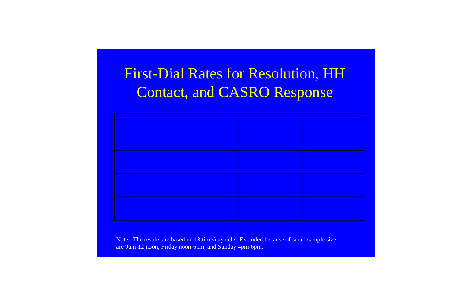Note: The results are based on 18 time/day cells. Excluded because of small sample size are 9am-12 noon, Friday noon-6pm, and Sunday 4pm-6pm.



## Contact, and CASRO Response First-Dial Rates for Resolution, HH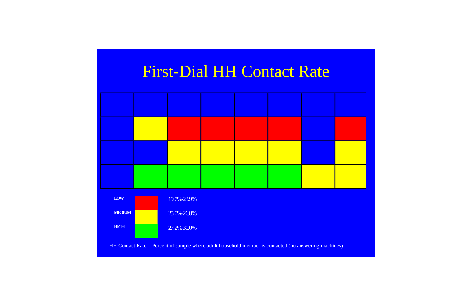# First-Dial HH Contact Rate



HH Contact Rate = Percent of sample where adult household member is contacted (no answering machines)

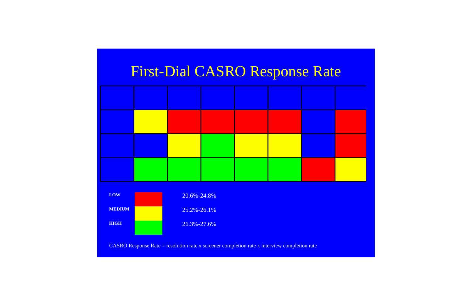

#### First-Dial CASRO Response Rate

CASRO Response Rate = resolution rate x screener completion rate x interview completion rate

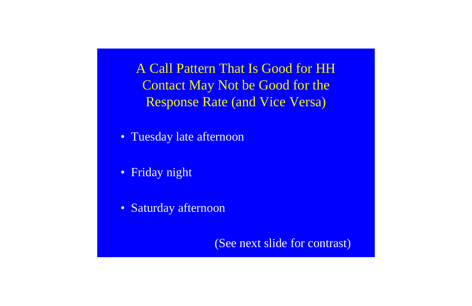A Call Pattern That Is Good for HH Contact May Not be Good for the Response Rate (and Vice Versa)

- Tuesday late afternoon
- Friday night
- Saturday afternoon

(See next slide for contrast)

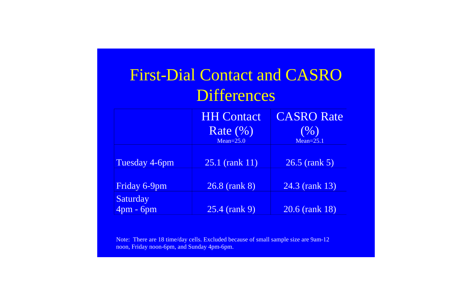| <b>First-Dial Contact and CASRO</b><br>Differences |                                                    |                                              |  |  |
|----------------------------------------------------|----------------------------------------------------|----------------------------------------------|--|--|
|                                                    | <b>HH Contact</b><br>Rate $(\% )$<br>$Mean = 25.0$ | <b>CASRO Rate</b><br>$($ %)<br>$Mean = 25.1$ |  |  |
| Tuesday 4-6pm                                      | $25.1$ (rank $11$ )                                | 26.5 (rank 5)                                |  |  |
| Friday 6-9pm                                       | 26.8 (rank 8)                                      | 24.3 (rank 13)                               |  |  |
| <b>Saturday</b><br>4pm - 6pm                       | 25.4 (rank 9)                                      | $20.6$ (rank 18)                             |  |  |

Note: There are 18 time/day cells. Excluded because of small sample size are 9am-12 noon, Friday noon-6pm, and Sunday 4pm-6pm.

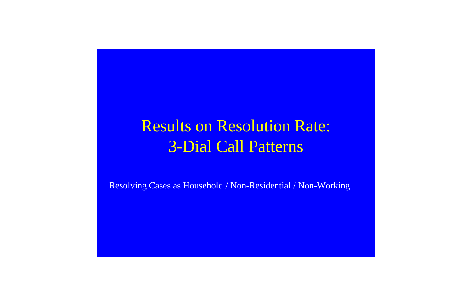# Results on Resolution Rate: 3-Dial Call Patterns

Resolving Cases as Household / Non-Residential / Non-Working





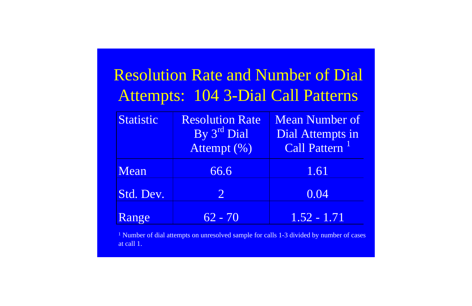<sup>1</sup> Number of dial attempts on unresolved sample for calls 1-3 divided by number of cases at call 1.

| $\bullet$<br>2             |  |
|----------------------------|--|
| IS                         |  |
| Of                         |  |
| $\overline{1}\overline{1}$ |  |

# Resolution Rate and Number of Di Attempts: 104 3-Dial Call Patterns

| Statistic | <b>Resolution Rate</b><br>By 3rd Dial<br>Attempt (%) | <b>Mean Number of</b><br>Dial Attempts in<br>Call Pattern <sup>1</sup> |
|-----------|------------------------------------------------------|------------------------------------------------------------------------|
| Mean      | 66.6                                                 | 1.61                                                                   |
| Std. Dev. | $\overline{2}$                                       | 0.04                                                                   |
| Range     | $62 - 70$                                            | $1.52 - 1.71$                                                          |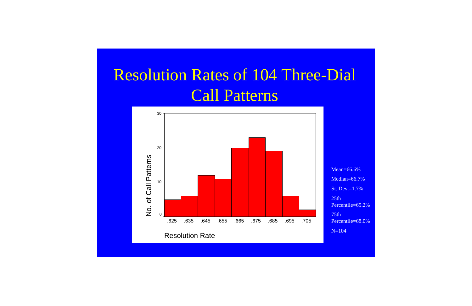Percentile=68.0%

# Call Patterns Resolution Rates of 104 Three-Dial

Median=66.7% St. Dev.=1.7%

Percentile=65.2%

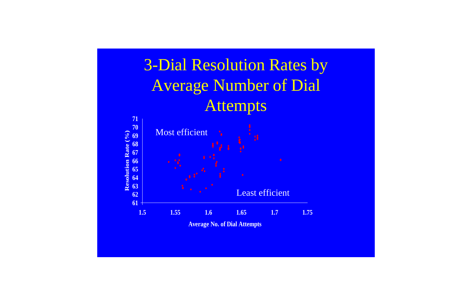

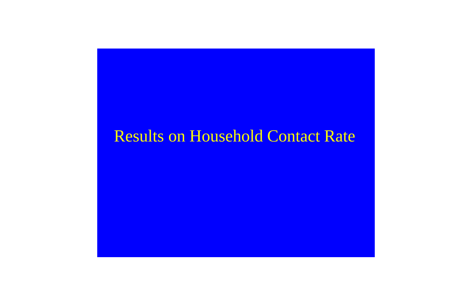## Results on Household Contact Rate

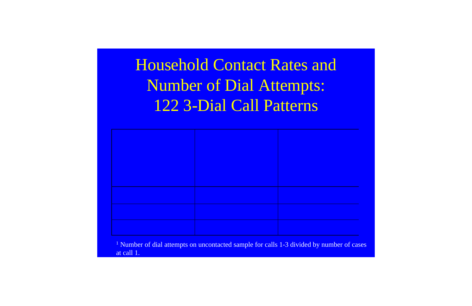<sup>1</sup> Number of dial attempts on uncontacted sample for calls 1-3 divided by number of cases at call 1.



# Household Contact Rates and Number of Dial Attempts: 122 3-Dial Call Patterns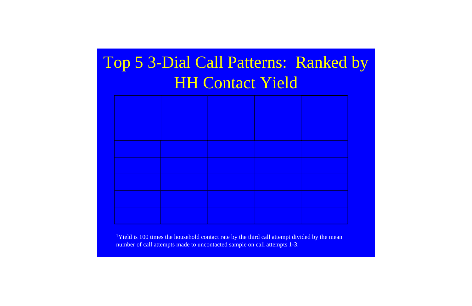# Top 5 3-Dial Call Patterns: Ranked by **HH Contact Yield**

<sup>1</sup>Yield is 100 times the household contact rate by the third call attempt divided by the mean number of call attempts made to uncontacted sample on call attempts 1-3.

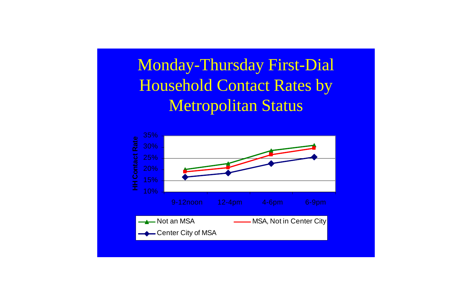Monday-Thursday First-Dial **Household Contact Rates by Metropolitan Status** 



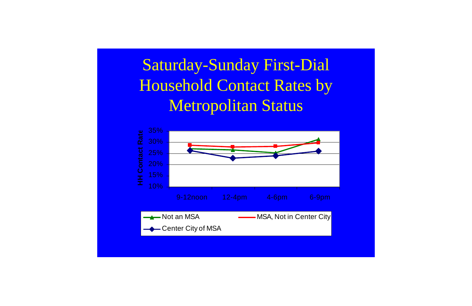# Saturday-Sunday First-Dial **Household Contact Rates by Metropolitan Status**



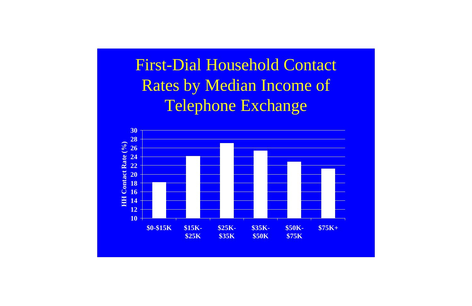# **First-Dial Household Contact Rates by Median Income of** Telephone Exchange



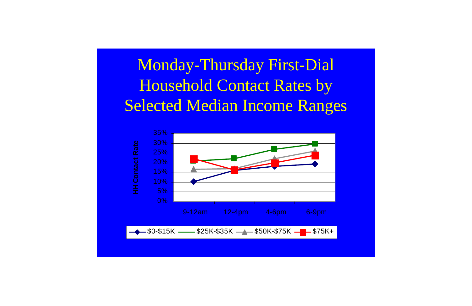# Monday-Thursday First-Dial **Household Contact Rates by Selected Median Income Ranges**



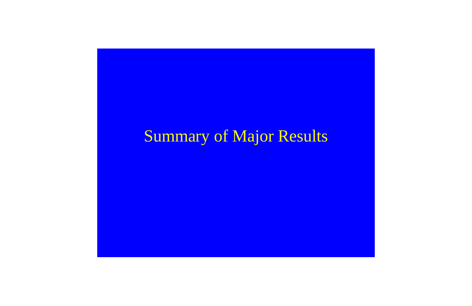# Summary of Major Results

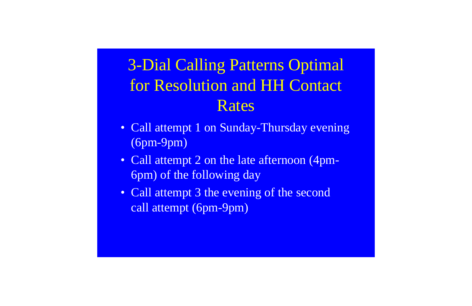# for Resolution and HH Contact Rates 3-Dial Calling Patterns Optimal

- Call attempt 1 on Sunday-Thursday evening (6pm-9pm)
- Call attempt 2 on the late afternoon (4pm-6pm) of the following day
- Call attempt 3 the evening of the second call attempt (6pm-9pm)

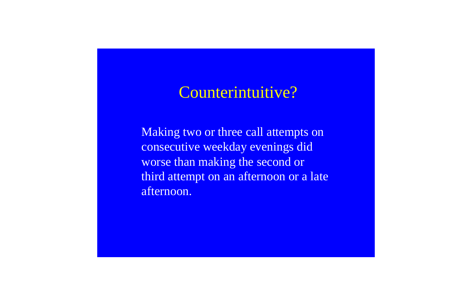## Counterintuitive?

Making two or three call attempts on worse than making the second or third attempt on an afternoon or a late afternoon. consecutive weekday evenings did

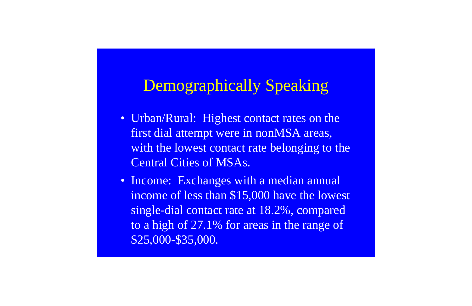#### Demographically Speaking

- Urban/Rural: Highest contact rates on the with the lowest contact rate belonging to the first dial attempt were in nonMSA areas, Central Cities of MSAs.
- Income: Exchanges with a median annual income of less than \$15,000 have the lowest to a high of 27.1% for areas in the range of single-dial contact rate at 18.2%, compared \$25,000-\$35,000.